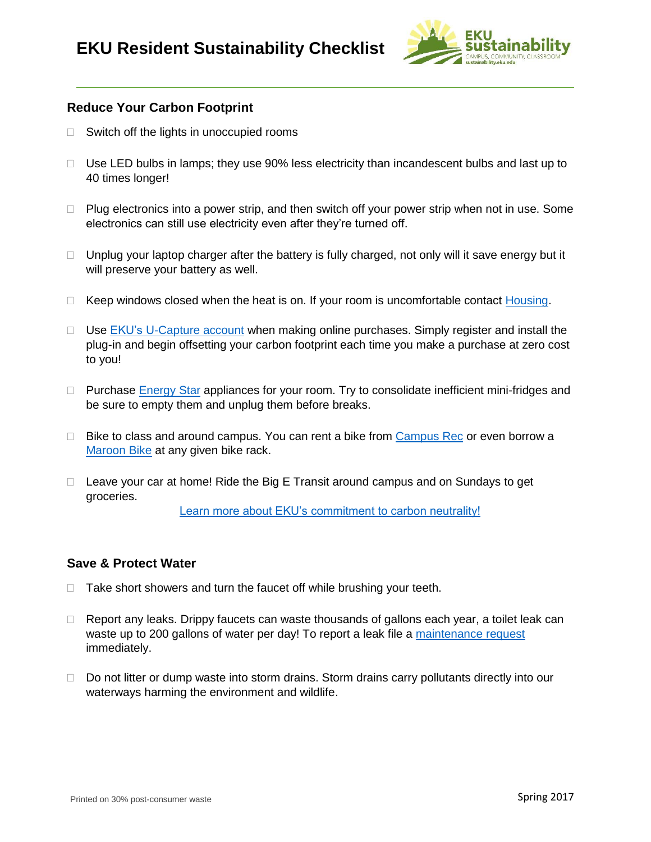

#### **Reduce Your Carbon Footprint**

- $\Box$  Switch off the lights in unoccupied rooms
- $\Box$  Use LED bulbs in lamps; they use 90% less electricity than incandescent bulbs and last up to 40 times longer!
- $\Box$  Plug electronics into a power strip, and then switch off your power strip when not in use. Some electronics can still use electricity even after they're turned off.
- $\Box$  Unplug your laptop charger after the battery is fully charged, not only will it save energy but it will preserve your battery as well.
- $\Box$  Keep windows closed when the heat is on. If your room is uncomfortable contact [Housing.](https://housing.eku.edu/report-maintenance-issue)
- □ Use [EKU's U-Capture account](https://www.ucapture.com/register-mobile/?pc_coupon=EKU1) when making online purchases. Simply register and install the plug-in and begin offsetting your carbon footprint each time you make a purchase at zero cost to you!
- □ Purchase [Energy Star](https://www.energystar.gov/) appliances for your room. Try to consolidate inefficient mini-fridges and be sure to empty them and unplug them before breaks.
- $\Box$  Bike to class and around campus. You can rent a bike from  $Campus Rec$  or even borrow a [Maroon Bike](http://campusrec.eku.edu/insidelook/maroon-bike-program) at any given bike rack.
- $\Box$  Leave your car at home! Ride the Big E Transit around campus and on Sundays to get groceries.

[Learn more about EKU's commitment to carbon neutrality!](http://sustainability.eku.edu/energy-climate)

#### **Save & Protect Water**

- $\Box$  Take short showers and turn the faucet off while brushing your teeth.
- $\Box$  Report any leaks. Drippy faucets can waste thousands of gallons each year, a toilet leak can waste up to 200 gallons of water per day! To report a leak file a [maintenance request](https://housing.eku.edu/report-maintenance-issue) immediately.
- Do not litter or dump waste into storm drains. Storm drains carry pollutants directly into our waterways harming the environment and wildlife.